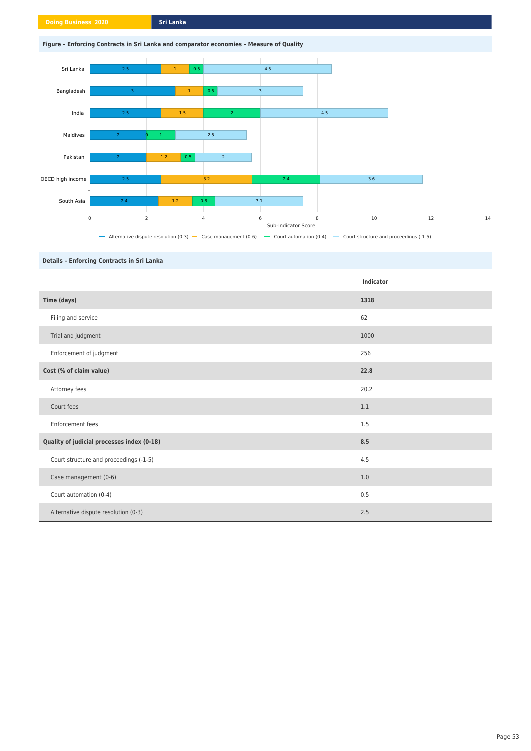# **Figure – Enforcing Contracts in Sri Lanka and comparator economies – Measure of Quality**



# **Details – Enforcing Contracts in Sri Lanka**

|                                            | <b>Indicator</b> |
|--------------------------------------------|------------------|
| Time (days)                                | 1318             |
| Filing and service                         | 62               |
| Trial and judgment                         | 1000             |
| Enforcement of judgment                    | 256              |
| Cost (% of claim value)                    | 22.8             |
| Attorney fees                              | 20.2             |
| Court fees                                 | 1.1              |
| Enforcement fees                           | 1.5              |
| Quality of judicial processes index (0-18) | 8.5              |
| Court structure and proceedings (-1-5)     | 4.5              |
| Case management (0-6)                      | 1.0              |
| Court automation (0-4)                     | 0.5              |
| Alternative dispute resolution (0-3)       | 2.5              |

# Page 53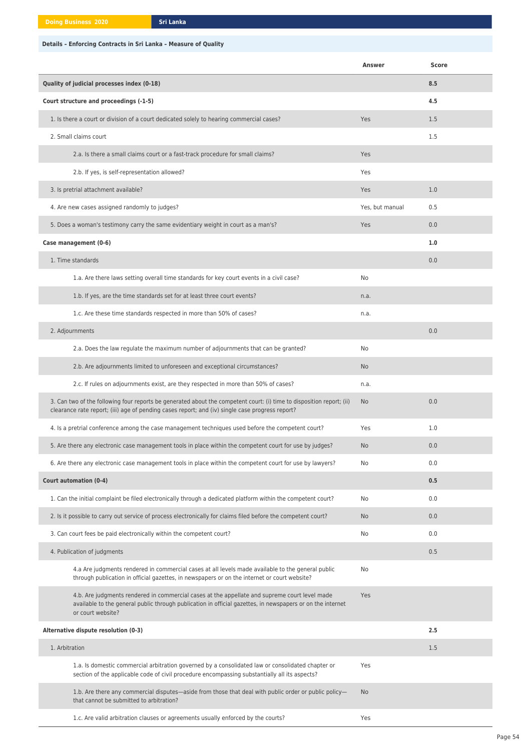# **Details – Enforcing Contracts in Sri Lanka – Measure of Quality**

|                                                                                                                                                                                                                          | Answer          | <b>Score</b> |
|--------------------------------------------------------------------------------------------------------------------------------------------------------------------------------------------------------------------------|-----------------|--------------|
| Quality of judicial processes index (0-18)                                                                                                                                                                               |                 | 8.5          |
| Court structure and proceedings (-1-5)                                                                                                                                                                                   |                 | 4.5          |
| 1. Is there a court or division of a court dedicated solely to hearing commercial cases?                                                                                                                                 | Yes             | 1.5          |
| 2. Small claims court                                                                                                                                                                                                    |                 | 1.5          |
| 2.a. Is there a small claims court or a fast-track procedure for small claims?                                                                                                                                           | Yes             |              |
| 2.b. If yes, is self-representation allowed?                                                                                                                                                                             | Yes             |              |
| 3. Is pretrial attachment available?                                                                                                                                                                                     | Yes             | 1.0          |
| 4. Are new cases assigned randomly to judges?                                                                                                                                                                            | Yes, but manual | 0.5          |
| 5. Does a woman's testimony carry the same evidentiary weight in court as a man's?                                                                                                                                       | Yes             | 0.0          |
| Case management (0-6)                                                                                                                                                                                                    |                 | 1.0          |
| 1. Time standards                                                                                                                                                                                                        |                 | 0.0          |
| 1.a. Are there laws setting overall time standards for key court events in a civil case?                                                                                                                                 | No              |              |
| 1.b. If yes, are the time standards set for at least three court events?                                                                                                                                                 | n.a.            |              |
| 1.c. Are these time standards respected in more than 50% of cases?                                                                                                                                                       | n.a.            |              |
| 2. Adjournments                                                                                                                                                                                                          |                 | 0.0          |
| 2.a. Does the law regulate the maximum number of adjournments that can be granted?                                                                                                                                       | No              |              |
| 2.b. Are adjournments limited to unforeseen and exceptional circumstances?                                                                                                                                               | <b>No</b>       |              |
| 2.c. If rules on adjournments exist, are they respected in more than 50% of cases?                                                                                                                                       | n.a.            |              |
| 3. Can two of the following four reports be generated about the competent court: (i) time to disposition report; (ii)<br>clearance rate report; (iii) age of pending cases report; and (iv) single case progress report? | <b>No</b>       | 0.0          |
| 4. Is a pretrial conference among the case management techniques used before the competent court?                                                                                                                        | Yes             | 1.0          |
| 5. Are there any electronic case management tools in place within the competent court for use by judges?                                                                                                                 | No              | 0.0          |
| 6. Are there any electronic case management tools in place within the competent court for use by lawyers?                                                                                                                | No              | 0.0          |
| <b>Court automation (0-4)</b>                                                                                                                                                                                            |                 | 0.5          |
| 1. Can the initial complaint be filed electronically through a dedicated platform within the competent court?                                                                                                            | No              | 0.0          |
| 2. Is it possible to carry out service of process electronically for claims filed before the competent court?                                                                                                            | No              | 0.0          |
| 3. Can court fees be paid electronically within the competent court?                                                                                                                                                     | No              | 0.0          |
| 4. Publication of judgments                                                                                                                                                                                              |                 | 0.5          |

| 4.a Are judgments rendered in commercial cases at all levels made available to the general public<br>through publication in official gazettes, in newspapers or on the internet or court website?                                | No. |     |
|----------------------------------------------------------------------------------------------------------------------------------------------------------------------------------------------------------------------------------|-----|-----|
| 4.b. Are judgments rendered in commercial cases at the appellate and supreme court level made<br>available to the general public through publication in official gazettes, in newspapers or on the internet<br>or court website? | Yes |     |
| Alternative dispute resolution (0-3)                                                                                                                                                                                             |     | 2.5 |
| 1. Arbitration                                                                                                                                                                                                                   |     | 1.5 |
| 1.a. Is domestic commercial arbitration governed by a consolidated law or consolidated chapter or<br>section of the applicable code of civil procedure encompassing substantially all its aspects?                               | Yes |     |
| 1.b. Are there any commercial disputes—aside from those that deal with public order or public policy—<br>that cannot be submitted to arbitration?                                                                                | No. |     |
| 1.c. Are valid arbitration clauses or agreements usually enforced by the courts?                                                                                                                                                 | Yes |     |